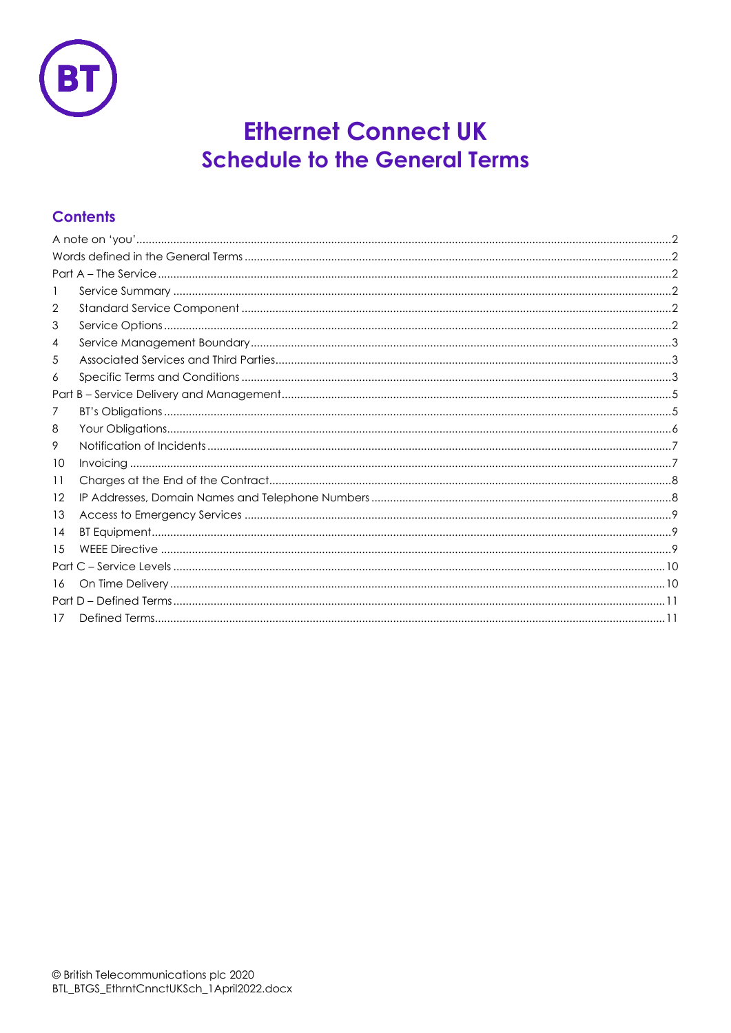

# **Ethernet Connect UK Schedule to the General Terms**

# **Contents**

| 2  |  |  |  |  |
|----|--|--|--|--|
| 3  |  |  |  |  |
| 4  |  |  |  |  |
| 5  |  |  |  |  |
| 6  |  |  |  |  |
|    |  |  |  |  |
| 7  |  |  |  |  |
| 8  |  |  |  |  |
| 9  |  |  |  |  |
| 10 |  |  |  |  |
| 11 |  |  |  |  |
| 12 |  |  |  |  |
| 13 |  |  |  |  |
| 14 |  |  |  |  |
| 15 |  |  |  |  |
|    |  |  |  |  |
| 16 |  |  |  |  |
|    |  |  |  |  |
| 17 |  |  |  |  |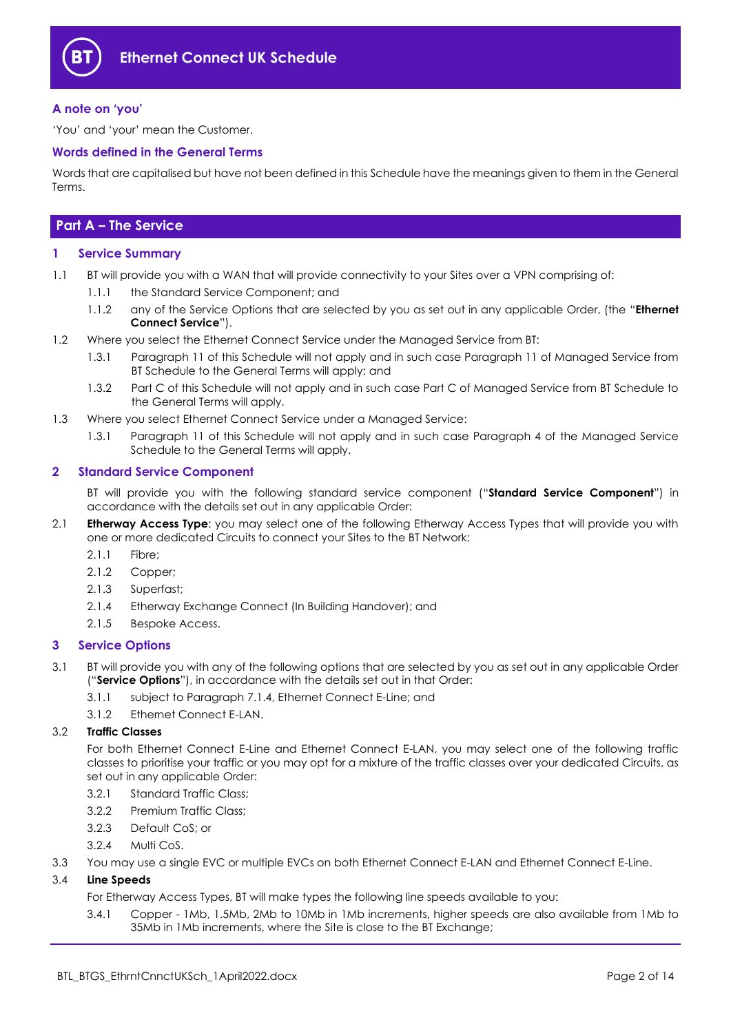

#### <span id="page-1-0"></span>**A note on 'you'**

'You' and 'your' mean the Customer.

#### <span id="page-1-1"></span>**Words defined in the General Terms**

Words that are capitalised but have not been defined in this Schedule have the meanings given to them in the General Terms.

### <span id="page-1-2"></span>**Part A – The Service**

#### <span id="page-1-3"></span>**1 Service Summary**

- 1.1 BT will provide you with a WAN that will provide connectivity to your Sites over a VPN comprising of:
	- 1.1.1 the Standard Service Component; and
	- 1.1.2 any of the Service Options that are selected by you as set out in any applicable Order, (the "**Ethernet Connect Service**").
- 1.2 Where you select the Ethernet Connect Service under the Managed Service from BT:
	- 1.3.1 Paragraph 11 of this Schedule will not apply and in such case Paragraph 11 of Managed Service from BT Schedule to the General Terms will apply; and
	- 1.3.2 Part C of this Schedule will not apply and in such case Part C of Managed Service from BT Schedule to the General Terms will apply.
- 1.3 Where you select Ethernet Connect Service under a Managed Service:
	- 1.3.1 Paragraph 11 of this Schedule will not apply and in such case Paragraph 4 of the Managed Service Schedule to the General Terms will apply.

#### <span id="page-1-4"></span>**2 Standard Service Component**

BT will provide you with the following standard service component ("**Standard Service Component**") in accordance with the details set out in any applicable Order:

- <span id="page-1-7"></span>2.1 **Etherway Access Type**: you may select one of the following Etherway Access Types that will provide you with one or more dedicated Circuits to connect your Sites to the BT Network:
	- 2.1.1 Fibre;
	- 2.1.2 Copper;
	- 2.1.3 Superfast;
	- 2.1.4 Etherway Exchange Connect (In Building Handover); and
	- 2.1.5 Bespoke Access.

#### <span id="page-1-5"></span>**3 Service Options**

- 3.1 BT will provide you with any of the following options that are selected by you as set out in any applicable Order ("**Service Options**"), in accordance with the details set out in that Order:
	- 3.1.1 subject to Paragraph [7.1.4,](#page-4-2) Ethernet Connect E-Line; and
	- 3.1.2 Ethernet Connect E-LAN.

#### 3.2 **Traffic Classes**

For both Ethernet Connect E-Line and Ethernet Connect E-LAN, you may select one of the following traffic classes to prioritise your traffic or you may opt for a mixture of the traffic classes over your dedicated Circuits, as set out in any applicable Order:

- 3.2.1 Standard Traffic Class;
- 3.2.2 Premium Traffic Class;
- 3.2.3 Default CoS; or
- 3.2.4 Multi CoS.
- 3.3 You may use a single EVC or multiple EVCs on both Ethernet Connect E-LAN and Ethernet Connect E-Line.

#### <span id="page-1-6"></span>3.4 **Line Speeds**

For Etherway Access Types, BT will make types the following line speeds available to you:

3.4.1 Copper - 1Mb, 1.5Mb, 2Mb to 10Mb in 1Mb increments, higher speeds are also available from 1Mb to 35Mb in 1Mb increments, where the Site is close to the BT Exchange;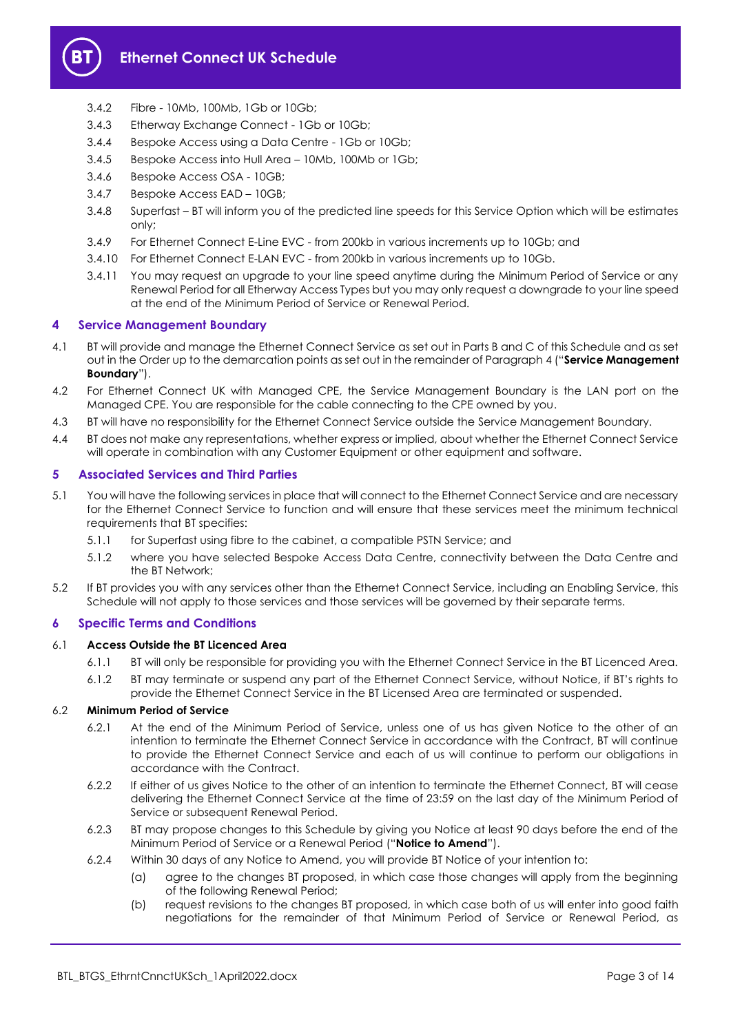

- 3.4.2 Fibre 10Mb, 100Mb, 1Gb or 10Gb;
- 3.4.3 Etherway Exchange Connect 1Gb or 10Gb;
- 3.4.4 Bespoke Access using a Data Centre 1Gb or 10Gb;
- 3.4.5 Bespoke Access into Hull Area 10Mb, 100Mb or 1Gb;
- 3.4.6 Bespoke Access OSA 10GB;
- 3.4.7 Bespoke Access EAD 10GB;
- <span id="page-2-4"></span>3.4.8 Superfast – BT will inform you of the predicted line speeds for this Service Option which will be estimates only;
- 3.4.9 For Ethernet Connect E-Line EVC from 200kb in various increments up to 10Gb; and
- 3.4.10 For Ethernet Connect E-LAN EVC from 200kb in various increments up to 10Gb.
- 3.4.11 You may request an upgrade to your line speed anytime during the Minimum Period of Service or any Renewal Period for all Etherway Access Types but you may only request a downgrade to your line speed at the end of the Minimum Period of Service or Renewal Period.

#### <span id="page-2-0"></span>**4 Service Management Boundary**

- <span id="page-2-6"></span>4.1 BT will provide and manage the Ethernet Connect Service as set out in Parts B and C of this Schedule and as set out in the Order up to the demarcation points as set out in the remainder of Paragrap[h 4](#page-2-0) ("**Service Management Boundary**").
- 4.2 For Ethernet Connect UK with Managed CPE, the Service Management Boundary is the LAN port on the Managed CPE. You are responsible for the cable connecting to the CPE owned by you.
- 4.3 BT will have no responsibility for the Ethernet Connect Service outside the Service Management Boundary.
- 4.4 BT does not make any representations, whether express or implied, about whether the Ethernet Connect Service will operate in combination with any Customer Equipment or other equipment and software.

#### <span id="page-2-1"></span>**5 Associated Services and Third Parties**

- <span id="page-2-5"></span>5.1 You will have the following services in place that will connect to the Ethernet Connect Service and are necessary for the Ethernet Connect Service to function and will ensure that these services meet the minimum technical requirements that BT specifies:
	- 5.1.1 for Superfast using fibre to the cabinet, a compatible PSTN Service; and
	- 5.1.2 where you have selected Bespoke Access Data Centre, connectivity between the Data Centre and the BT Network;
- 5.2 If BT provides you with any services other than the Ethernet Connect Service, including an Enabling Service, this Schedule will not apply to those services and those services will be governed by their separate terms.

#### <span id="page-2-2"></span>**6 Specific Terms and Conditions**

#### 6.1 **Access Outside the BT Licenced Area**

- 6.1.1 BT will only be responsible for providing you with the Ethernet Connect Service in the BT Licenced Area.
- 6.1.2 BT may terminate or suspend any part of the Ethernet Connect Service, without Notice, if BT's rights to provide the Ethernet Connect Service in the BT Licensed Area are terminated or suspended.

#### 6.2 **Minimum Period of Service**

- 6.2.1 At the end of the Minimum Period of Service, unless one of us has given Notice to the other of an intention to terminate the Ethernet Connect Service in accordance with the Contract, BT will continue to provide the Ethernet Connect Service and each of us will continue to perform our obligations in accordance with the Contract.
- 6.2.2 If either of us gives Notice to the other of an intention to terminate the Ethernet Connect, BT will cease delivering the Ethernet Connect Service at the time of 23:59 on the last day of the Minimum Period of Service or subsequent Renewal Period.
- 6.2.3 BT may propose changes to this Schedule by giving you Notice at least 90 days before the end of the Minimum Period of Service or a Renewal Period ("**Notice to Amend**").
- <span id="page-2-3"></span>6.2.4 Within 30 days of any Notice to Amend, you will provide BT Notice of your intention to:
	- (a) agree to the changes BT proposed, in which case those changes will apply from the beginning of the following Renewal Period;
	- (b) request revisions to the changes BT proposed, in which case both of us will enter into good faith negotiations for the remainder of that Minimum Period of Service or Renewal Period, as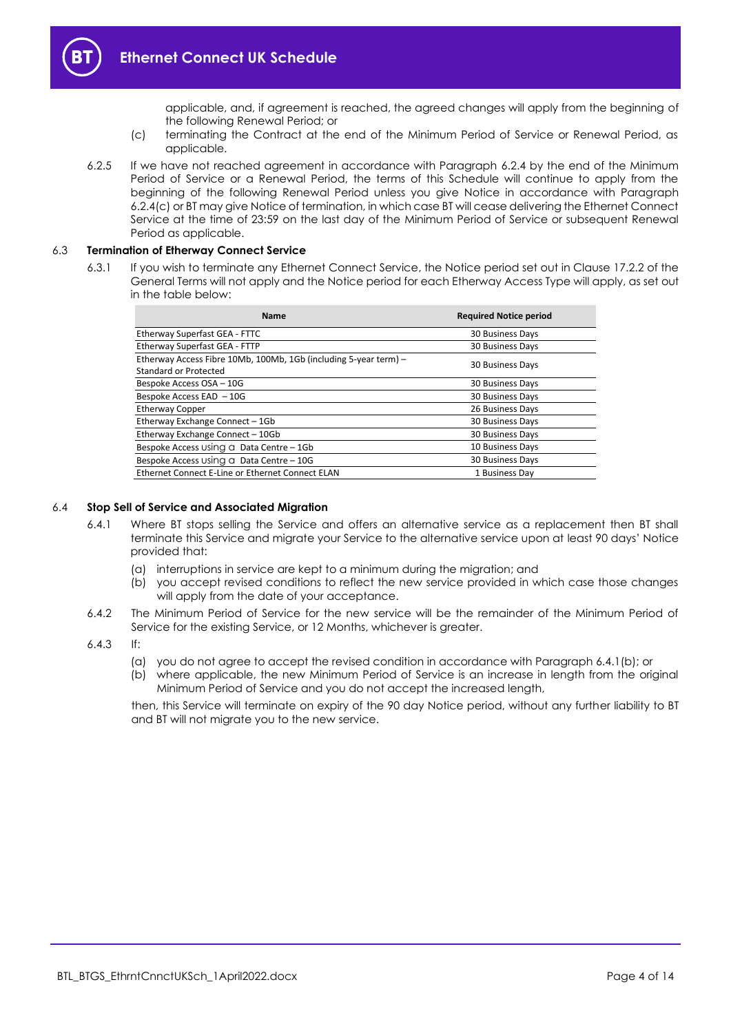applicable, and, if agreement is reached, the agreed changes will apply from the beginning of the following Renewal Period; or

- (c) terminating the Contract at the end of the Minimum Period of Service or Renewal Period, as applicable.
- <span id="page-3-0"></span>6.2.5 If we have not reached agreement in accordance with Paragraph [6.2.4](#page-2-3) by the end of the Minimum Period of Service or a Renewal Period, the terms of this Schedule will continue to apply from the beginning of the following Renewal Period unless you give Notice in accordance with Paragraph [6.2.4\(c\)](#page-3-0) or BT may give Notice of termination, in which case BT will cease delivering the Ethernet Connect Service at the time of 23:59 on the last day of the Minimum Period of Service or subsequent Renewal Period as applicable.

#### 6.3 **Termination of Etherway Connect Service**

6.3.1 If you wish to terminate any Ethernet Connect Service, the Notice period set out in Clause 17.2.2 of the General Terms will not apply and the Notice period for each Etherway Access Type will apply, as set out in the table below:

| <b>Name</b>                                                                               | <b>Required Notice period</b> |
|-------------------------------------------------------------------------------------------|-------------------------------|
| Etherway Superfast GEA - FTTC                                                             | 30 Business Days              |
| Etherway Superfast GEA - FTTP                                                             | 30 Business Days              |
| Etherway Access Fibre 10Mb, 100Mb, 1Gb (including 5-year term) -<br>Standard or Protected | 30 Business Days              |
| Bespoke Access OSA - 10G                                                                  | 30 Business Days              |
| Bespoke Access EAD - 10G                                                                  | 30 Business Days              |
| <b>Etherway Copper</b>                                                                    | 26 Business Days              |
| Etherway Exchange Connect - 1Gb                                                           | 30 Business Days              |
| Etherway Exchange Connect - 10Gb                                                          | 30 Business Days              |
| Bespoke Access Using a Data Centre - 1Gb                                                  | 10 Business Days              |
| Bespoke Access Using $\alpha$ Data Centre – 10G                                           | 30 Business Days              |
| Ethernet Connect E-Line or Ethernet Connect ELAN                                          | 1 Business Day                |

#### 6.4 **Stop Sell of Service and Associated Migration**

- 6.4.1 Where BT stops selling the Service and offers an alternative service as a replacement then BT shall terminate this Service and migrate your Service to the alternative service upon at least 90 days' Notice provided that:
	- (a) interruptions in service are kept to a minimum during the migration; and
	- (b) you accept revised conditions to reflect the new service provided in which case those changes will apply from the date of your acceptance.
- 6.4.2 The Minimum Period of Service for the new service will be the remainder of the Minimum Period of Service for the existing Service, or 12 Months, whichever is greater.
- 6.4.3 If:
	- (a) you do not agree to accept the revised condition in accordance with Paragraph 6.4.1(b); or
	- (b) where applicable, the new Minimum Period of Service is an increase in length from the original Minimum Period of Service and you do not accept the increased length,

then, this Service will terminate on expiry of the 90 day Notice period, without any further liability to BT and BT will not migrate you to the new service.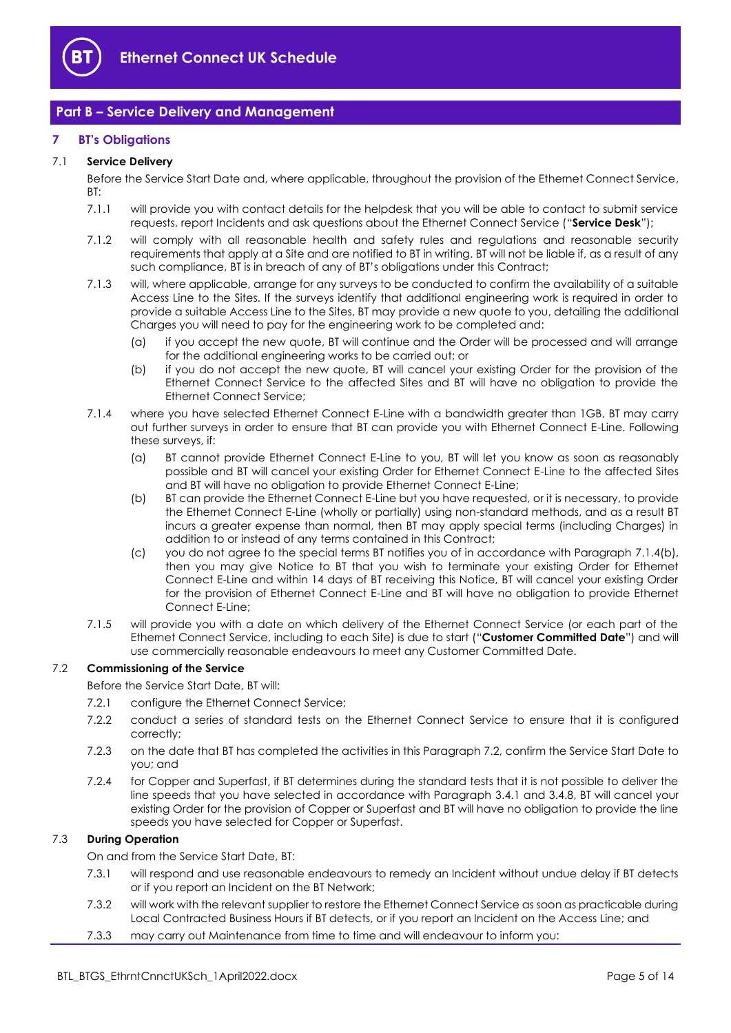

## <span id="page-4-0"></span>**Part B – Service Delivery and Management**

#### <span id="page-4-1"></span>**7 BT's Obligations**

#### 7.1 **Service Delivery**

Before the Service Start Date and, where applicable, throughout the provision of the Ethernet Connect Service,  $RT$ 

- <span id="page-4-6"></span>7.1.1 will provide you with contact details for the helpdesk that you will be able to contact to submit service requests, report Incidents and ask questions about the Ethernet Connect Service ("**Service Desk**");
- 7.1.2 will comply with all reasonable health and safety rules and regulations and reasonable security requirements that apply at a Site and are notified to BT in writing. BT will not be liable if, as a result of any such compliance, BT is in breach of any of BT's obligations under this Contract;
- 7.1.3 will, where applicable, arrange for any surveys to be conducted to confirm the availability of a suitable Access Line to the Sites. If the surveys identify that additional engineering work is required in order to provide a suitable Access Line to the Sites, BT may provide a new quote to you, detailing the additional Charges you will need to pay for the engineering work to be completed and:
	- (a) if you accept the new quote, BT will continue and the Order will be processed and will arrange for the additional engineering works to be carried out; or
	- (b) if you do not accept the new quote, BT will cancel your existing Order for the provision of the Ethernet Connect Service to the affected Sites and BT will have no obligation to provide the Ethernet Connect Service;
- <span id="page-4-3"></span><span id="page-4-2"></span>7.1.4 where you have selected Ethernet Connect E-Line with a bandwidth greater than 1GB, BT may carry out further surveys in order to ensure that BT can provide you with Ethernet Connect E-Line. Following these surveys, if:
	- (a) BT cannot provide Ethernet Connect E-Line to you, BT will let you know as soon as reasonably possible and BT will cancel your existing Order for Ethernet Connect E-Line to the affected Sites and BT will have no obligation to provide Ethernet Connect E-Line;
	- (b) BT can provide the Ethernet Connect E-Line but you have requested, or it is necessary, to provide the Ethernet Connect E-Line (wholly or partially) using non-standard methods, and as a result BT incurs a greater expense than normal, then BT may apply special terms (including Charges) in addition to or instead of any terms contained in this Contract;
	- (c) you do not agree to the special terms BT notifies you of in accordance with Paragraph [7.1.4\(b\),](#page-4-3)  then you may give Notice to BT that you wish to terminate your existing Order for Ethernet Connect E-Line and within 14 days of BT receiving this Notice, BT will cancel your existing Order for the provision of Ethernet Connect E-Line and BT will have no obligation to provide Ethernet Connect E-Line;
- <span id="page-4-5"></span>7.1.5 will provide you with a date on which delivery of the Ethernet Connect Service (or each part of the Ethernet Connect Service, including to each Site) is due to start ("**Customer Committed Date**") and will use commercially reasonable endeavours to meet any Customer Committed Date.

#### <span id="page-4-4"></span>7.2 **Commissioning of the Service**

Before the Service Start Date, BT will:

- 7.2.1 configure the Ethernet Connect Service;
- 7.2.2 conduct a series of standard tests on the Ethernet Connect Service to ensure that it is configured correctly;
- 7.2.3 on the date that BT has completed the activities in this Paragraph [7.2,](#page-4-4) confirm the Service Start Date to you; and
- 7.2.4 for Copper and Superfast, if BT determines during the standard tests that it is not possible to deliver the line speeds that you have selected in accordance with Paragraph [3.4.1](#page-1-6) and [3.4.8,](#page-2-4) BT will cancel your existing Order for the provision of Copper or Superfast and BT will have no obligation to provide the line speeds you have selected for Copper or Superfast.

#### 7.3 **During Operation**

On and from the Service Start Date, BT:

- 7.3.1 will respond and use reasonable endeavours to remedy an Incident without undue delay if BT detects or if you report an Incident on the BT Network;
- 7.3.2 will work with the relevant supplier to restore the Ethernet Connect Service as soon as practicable during Local Contracted Business Hours if BT detects, or if you report an Incident on the Access Line; and
- 7.3.3 may carry out Maintenance from time to time and will endeavour to inform you: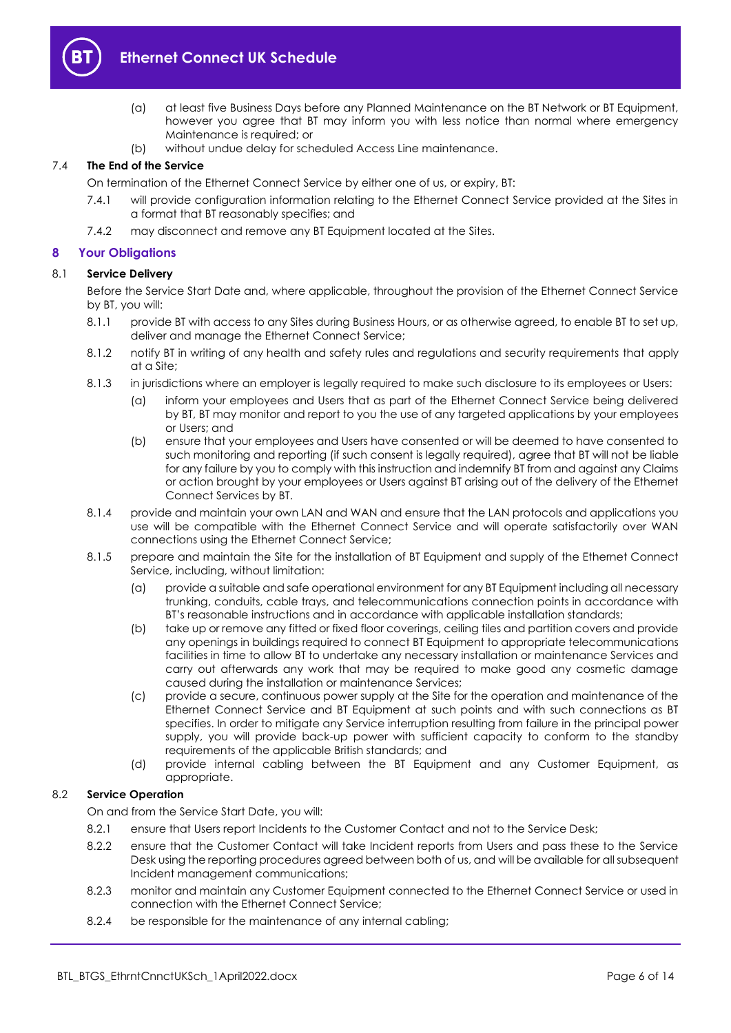

- (a) at least five Business Days before any Planned Maintenance on the BT Network or BT Equipment, however you agree that BT may inform you with less notice than normal where emergency Maintenance is required; or
- (b) without undue delay for scheduled Access Line maintenance.

#### 7.4 **The End of the Service**

On termination of the Ethernet Connect Service by either one of us, or expiry, BT:

- 7.4.1 will provide configuration information relating to the Ethernet Connect Service provided at the Sites in a format that BT reasonably specifies; and
- 7.4.2 may disconnect and remove any BT Equipment located at the Sites.

#### <span id="page-5-0"></span>**8 Your Obligations**

#### 8.1 **Service Delivery**

Before the Service Start Date and, where applicable, throughout the provision of the Ethernet Connect Service by BT, you will:

- 8.1.1 provide BT with access to any Sites during Business Hours, or as otherwise agreed, to enable BT to set up, deliver and manage the Ethernet Connect Service;
- 8.1.2 notify BT in writing of any health and safety rules and regulations and security requirements that apply at a Site;
- 8.1.3 in jurisdictions where an employer is legally required to make such disclosure to its employees or Users:
	- (a) inform your employees and Users that as part of the Ethernet Connect Service being delivered by BT, BT may monitor and report to you the use of any targeted applications by your employees or Users; and
	- (b) ensure that your employees and Users have consented or will be deemed to have consented to such monitoring and reporting (if such consent is legally required), agree that BT will not be liable for any failure by you to comply with this instruction and indemnify BT from and against any Claims or action brought by your employees or Users against BT arising out of the delivery of the Ethernet Connect Services by BT.
- 8.1.4 provide and maintain your own LAN and WAN and ensure that the LAN protocols and applications you use will be compatible with the Ethernet Connect Service and will operate satisfactorily over WAN connections using the Ethernet Connect Service;
- 8.1.5 prepare and maintain the Site for the installation of BT Equipment and supply of the Ethernet Connect Service, including, without limitation:
	- (a) provide a suitable and safe operational environment for any BT Equipment including all necessary trunking, conduits, cable trays, and telecommunications connection points in accordance with BT's reasonable instructions and in accordance with applicable installation standards;
	- (b) take up or remove any fitted or fixed floor coverings, ceiling tiles and partition covers and provide any openings in buildings required to connect BT Equipment to appropriate telecommunications facilities in time to allow BT to undertake any necessary installation or maintenance Services and carry out afterwards any work that may be required to make good any cosmetic damage caused during the installation or maintenance Services;
	- (c) provide a secure, continuous power supply at the Site for the operation and maintenance of the Ethernet Connect Service and BT Equipment at such points and with such connections as BT specifies. In order to mitigate any Service interruption resulting from failure in the principal power supply, you will provide back-up power with sufficient capacity to conform to the standby requirements of the applicable British standards; and
	- (d) provide internal cabling between the BT Equipment and any Customer Equipment, as appropriate.

#### 8.2 **Service Operation**

On and from the Service Start Date, you will:

- 8.2.1 ensure that Users report Incidents to the Customer Contact and not to the Service Desk;
- 8.2.2 ensure that the Customer Contact will take Incident reports from Users and pass these to the Service Desk using the reporting procedures agreed between both of us, and will be available for all subsequent Incident management communications;
- 8.2.3 monitor and maintain any Customer Equipment connected to the Ethernet Connect Service or used in connection with the Ethernet Connect Service;
- 8.2.4 be responsible for the maintenance of any internal cabling;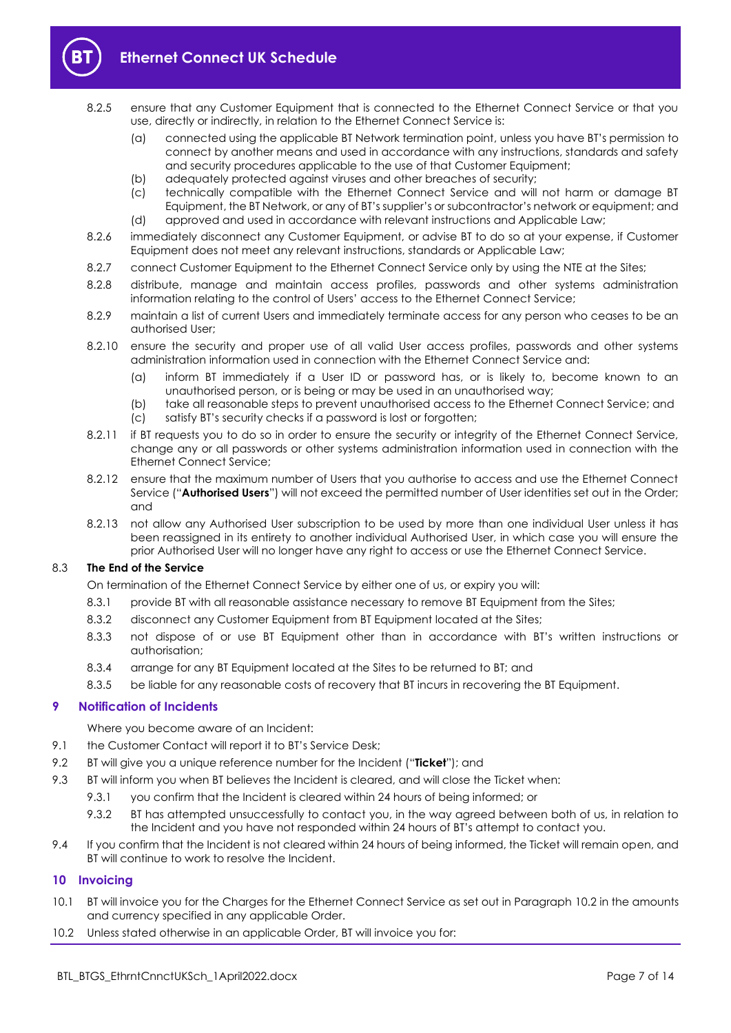

- 8.2.5 ensure that any Customer Equipment that is connected to the Ethernet Connect Service or that you use, directly or indirectly, in relation to the Ethernet Connect Service is:
	- (a) connected using the applicable BT Network termination point, unless you have BT's permission to connect by another means and used in accordance with any instructions, standards and safety and security procedures applicable to the use of that Customer Equipment;
	- (b) adequately protected against viruses and other breaches of security;
	- (c) technically compatible with the Ethernet Connect Service and will not harm or damage BT Equipment, the BT Network, or any of BT's supplier's or subcontractor's network or equipment; and (d) approved and used in accordance with relevant instructions and Applicable Law;
- 8.2.6 immediately disconnect any Customer Equipment, or advise BT to do so at your expense, if Customer Equipment does not meet any relevant instructions, standards or Applicable Law;
- 8.2.7 connect Customer Equipment to the Ethernet Connect Service only by using the NTE at the Sites:
- 8.2.8 distribute, manage and maintain access profiles, passwords and other systems administration information relating to the control of Users' access to the Ethernet Connect Service;
- 8.2.9 maintain a list of current Users and immediately terminate access for any person who ceases to be an authorised User;
- 8.2.10 ensure the security and proper use of all valid User access profiles, passwords and other systems administration information used in connection with the Ethernet Connect Service and:
	- (a) inform BT immediately if a User ID or password has, or is likely to, become known to an unauthorised person, or is being or may be used in an unauthorised way;
	- (b) take all reasonable steps to prevent unauthorised access to the Ethernet Connect Service; and
	- (c) satisfy BT's security checks if a password is lost or forgotten;
- 8.2.11 if BT requests you to do so in order to ensure the security or integrity of the Ethernet Connect Service, change any or all passwords or other systems administration information used in connection with the Ethernet Connect Service;
- 8.2.12 ensure that the maximum number of Users that you authorise to access and use the Ethernet Connect Service ("**Authorised Users**") will not exceed the permitted number of User identities set out in the Order; and
- 8.2.13 not allow any Authorised User subscription to be used by more than one individual User unless it has been reassigned in its entirety to another individual Authorised User, in which case you will ensure the prior Authorised User will no longer have any right to access or use the Ethernet Connect Service.

#### 8.3 **The End of the Service**

On termination of the Ethernet Connect Service by either one of us, or expiry you will:

- 8.3.1 provide BT with all reasonable assistance necessary to remove BT Equipment from the Sites;
- 8.3.2 disconnect any Customer Equipment from BT Equipment located at the Sites;
- 8.3.3 not dispose of or use BT Equipment other than in accordance with BT's written instructions or authorisation;
- 8.3.4 arrange for any BT Equipment located at the Sites to be returned to BT; and
- 8.3.5 be liable for any reasonable costs of recovery that BT incurs in recovering the BT Equipment.

#### <span id="page-6-0"></span>**9 Notification of Incidents**

- Where you become aware of an Incident:
- 9.1 the Customer Contact will report it to BT's Service Desk;
- <span id="page-6-3"></span>9.2 BT will give you a unique reference number for the Incident ("**Ticket**"); and
- 9.3 BT will inform you when BT believes the Incident is cleared, and will close the Ticket when:
	- 9.3.1 you confirm that the Incident is cleared within 24 hours of being informed; or
	- 9.3.2 BT has attempted unsuccessfully to contact you, in the way agreed between both of us, in relation to the Incident and you have not responded within 24 hours of BT's attempt to contact you.
- 9.4 If you confirm that the Incident is not cleared within 24 hours of being informed, the Ticket will remain open, and BT will continue to work to resolve the Incident.

#### <span id="page-6-1"></span>**10 Invoicing**

- 10.1 BT will invoice you for the Charges for the Ethernet Connect Service as set out in Paragraph [10.2](#page-6-2) in the amounts and currency specified in any applicable Order.
- <span id="page-6-2"></span>10.2 Unless stated otherwise in an applicable Order, BT will invoice you for: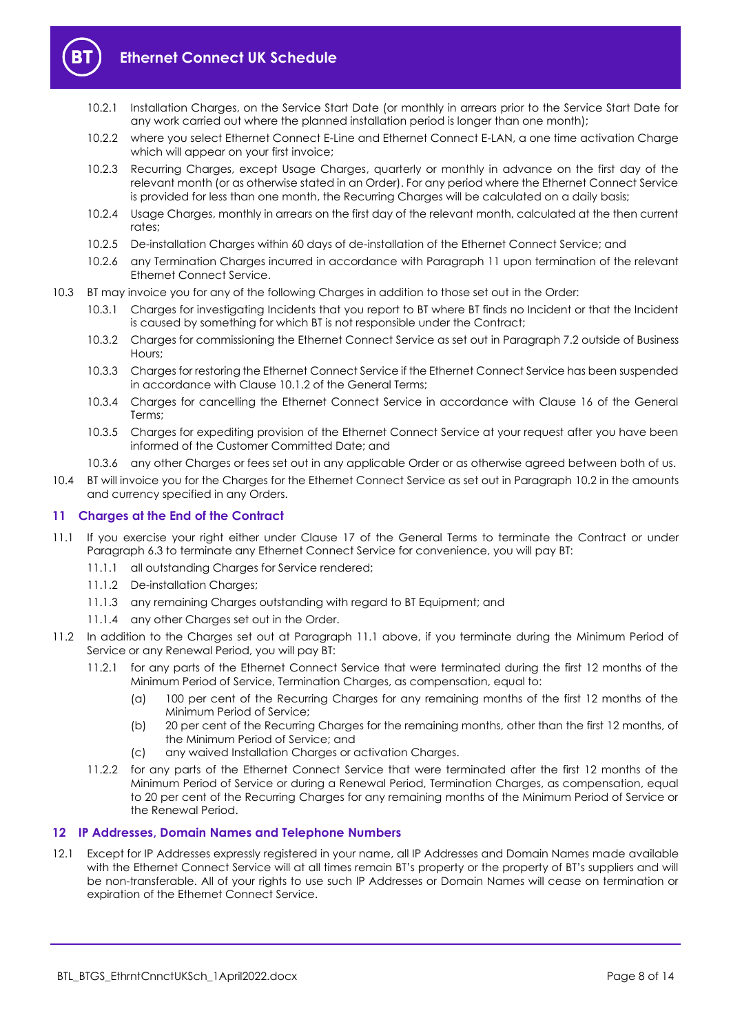

- 10.2.1 Installation Charges, on the Service Start Date (or monthly in arrears prior to the Service Start Date for any work carried out where the planned installation period is longer than one month);
- 10.2.2 where you select Ethernet Connect E-Line and Ethernet Connect E-LAN, a one time activation Charge which will appear on your first invoice;
- 10.2.3 Recurring Charges, except Usage Charges, quarterly or monthly in advance on the first day of the relevant month (or as otherwise stated in an Order). For any period where the Ethernet Connect Service is provided for less than one month, the Recurring Charges will be calculated on a daily basis;
- 10.2.4 Usage Charges, monthly in arrears on the first day of the relevant month, calculated at the then current rates;
- 10.2.5 De-installation Charges within 60 days of de-installation of the Ethernet Connect Service; and
- 10.2.6 any Termination Charges incurred in accordance with Paragraph [11](#page-7-0) upon termination of the relevant Ethernet Connect Service.
- 10.3 BT may invoice you for any of the following Charges in addition to those set out in the Order:
	- 10.3.1 Charges for investigating Incidents that you report to BT where BT finds no Incident or that the Incident is caused by something for which BT is not responsible under the Contract;
	- 10.3.2 Charges for commissioning the Ethernet Connect Service as set out in Paragrap[h 7.2](#page-4-4) outside of Business Hours;
	- 10.3.3 Charges for restoring the Ethernet Connect Service if the Ethernet Connect Service has been suspended in accordance with Clause 10.1.2 of the General Terms;
	- 10.3.4 Charges for cancelling the Ethernet Connect Service in accordance with Clause 16 of the General Terms;
	- 10.3.5 Charges for expediting provision of the Ethernet Connect Service at your request after you have been informed of the Customer Committed Date; and
	- 10.3.6 any other Charges or fees set out in any applicable Order or as otherwise agreed between both of us.
- 10.4 BT will invoice you for the Charges for the Ethernet Connect Service as set out in Paragraph [10.2](#page-6-2) in the amounts and currency specified in any Orders.

#### <span id="page-7-0"></span>**11 Charges at the End of the Contract**

- <span id="page-7-2"></span>11.1 If you exercise your right either under Clause 17 of the General Terms to terminate the Contract or under Paragraph 6.3 to terminate any Ethernet Connect Service for convenience, you will pay BT:
	- 11.1.1 all outstanding Charges for Service rendered;
	- 11.1.2 De-installation Charges:
	- 11.1.3 any remaining Charges outstanding with regard to BT Equipment; and
	- 11.1.4 any other Charges set out in the Order.
- 11.2 In addition to the Charges set out at Paragraph [11.1](#page-7-2) above, if you terminate during the Minimum Period of Service or any Renewal Period, you will pay BT:
	- 11.2.1 for any parts of the Ethernet Connect Service that were terminated during the first 12 months of the Minimum Period of Service, Termination Charges, as compensation, equal to:
		- (a) 100 per cent of the Recurring Charges for any remaining months of the first 12 months of the Minimum Period of Service;
		- (b) 20 per cent of the Recurring Charges for the remaining months, other than the first 12 months, of the Minimum Period of Service; and
		- (c) any waived Installation Charges or activation Charges.
	- 11.2.2 for any parts of the Ethernet Connect Service that were terminated after the first 12 months of the Minimum Period of Service or during a Renewal Period, Termination Charges, as compensation, equal to 20 per cent of the Recurring Charges for any remaining months of the Minimum Period of Service or the Renewal Period.

#### <span id="page-7-1"></span>**12 IP Addresses, Domain Names and Telephone Numbers**

12.1 Except for IP Addresses expressly registered in your name, all IP Addresses and Domain Names made available with the Ethernet Connect Service will at all times remain BT's property or the property of BT's suppliers and will be non-transferable. All of your rights to use such IP Addresses or Domain Names will cease on termination or expiration of the Ethernet Connect Service.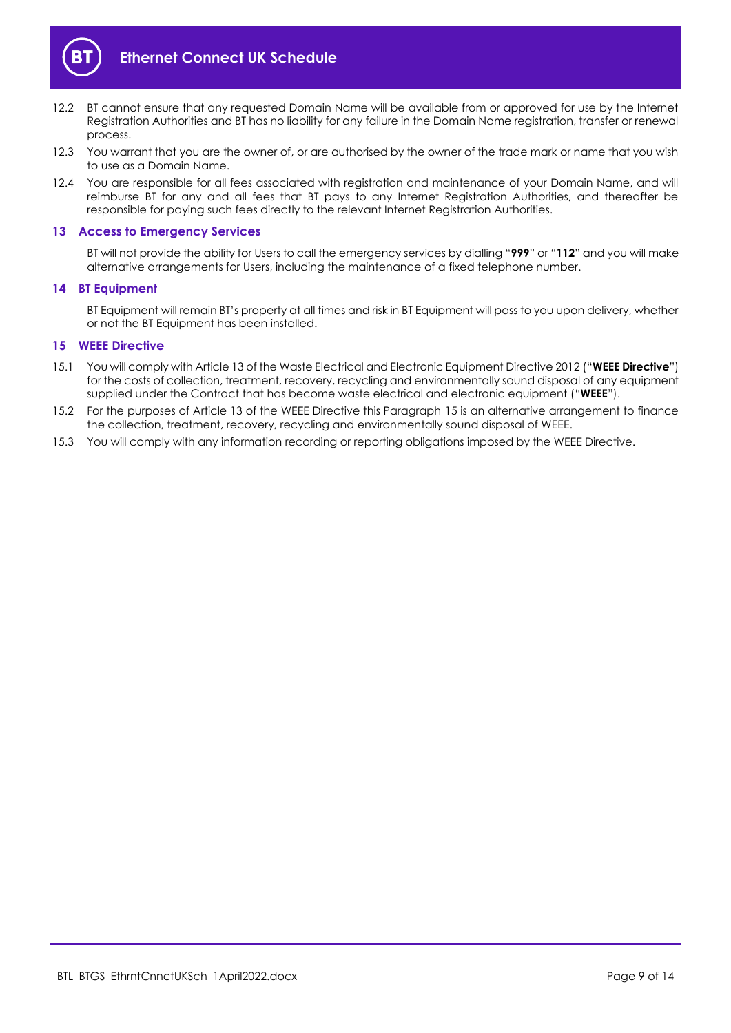

- 12.2 BT cannot ensure that any requested Domain Name will be available from or approved for use by the Internet Registration Authorities and BT has no liability for any failure in the Domain Name registration, transfer or renewal process.
- 12.3 You warrant that you are the owner of, or are authorised by the owner of the trade mark or name that you wish to use as a Domain Name.
- 12.4 You are responsible for all fees associated with registration and maintenance of your Domain Name, and will reimburse BT for any and all fees that BT pays to any Internet Registration Authorities, and thereafter be responsible for paying such fees directly to the relevant Internet Registration Authorities.

#### <span id="page-8-0"></span>**13 Access to Emergency Services**

BT will not provide the ability for Users to call the emergency services by dialling "**999**" or "**112**" and you will make alternative arrangements for Users, including the maintenance of a fixed telephone number.

#### <span id="page-8-1"></span>**14 BT Equipment**

BT Equipment will remain BT's property at all times and risk in BT Equipment will pass to you upon delivery, whether or not the BT Equipment has been installed.

#### <span id="page-8-2"></span>**15 WEEE Directive**

- <span id="page-8-3"></span>15.1 You will comply with Article 13 of the Waste Electrical and Electronic Equipment Directive 2012 ("**WEEE Directive**") for the costs of collection, treatment, recovery, recycling and environmentally sound disposal of any equipment supplied under the Contract that has become waste electrical and electronic equipment ("**WEEE**").
- 15.2 For the purposes of Article 13 of the WEEE Directive this Paragraph [15](#page-8-2) is an alternative arrangement to finance the collection, treatment, recovery, recycling and environmentally sound disposal of WEEE.
- 15.3 You will comply with any information recording or reporting obligations imposed by the WEEE Directive.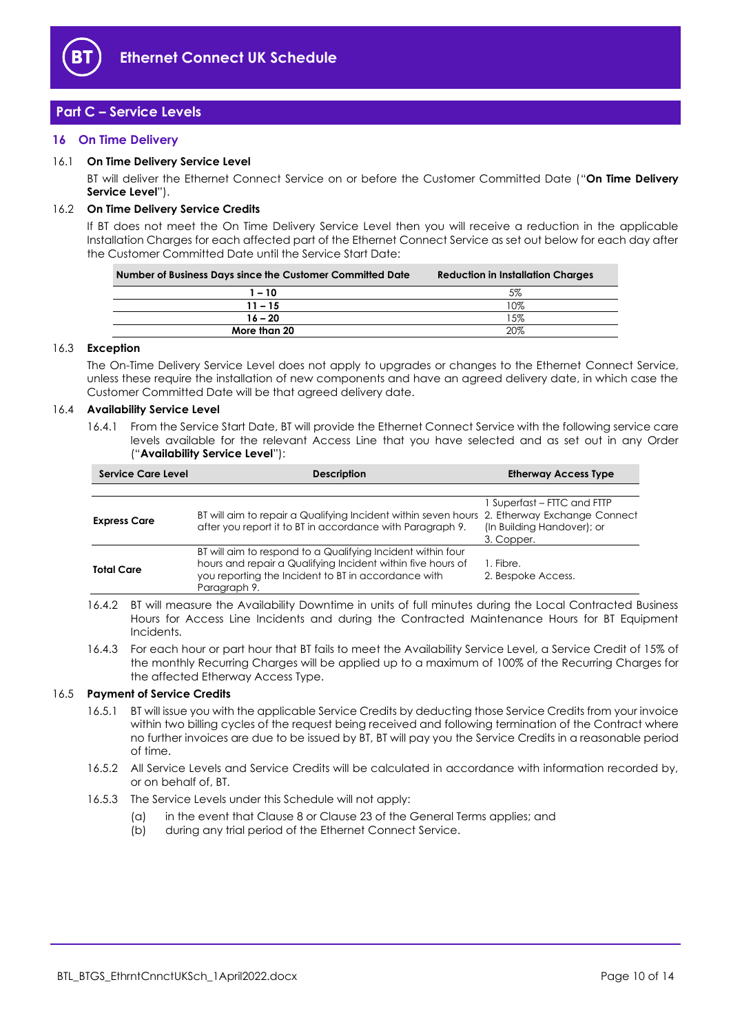

# <span id="page-9-0"></span>**Part C – Service Levels**

#### <span id="page-9-1"></span>**16 On Time Delivery**

#### <span id="page-9-3"></span>16.1 **On Time Delivery Service Level**

BT will deliver the Ethernet Connect Service on or before the Customer Committed Date ("**On Time Delivery Service Level**").

#### 16.2 **On Time Delivery Service Credits**

If BT does not meet the On Time Delivery Service Level then you will receive a reduction in the applicable Installation Charges for each affected part of the Ethernet Connect Service as set out below for each day after the Customer Committed Date until the Service Start Date:

| Number of Business Days since the Customer Committed Date | <b>Reduction in Installation Charges</b> |
|-----------------------------------------------------------|------------------------------------------|
| $1 - 10$                                                  | 5%                                       |
| $11 - 15$                                                 | 10%                                      |
| $16 - 20$                                                 | 15%                                      |
| More than 20                                              | 20%                                      |

#### 16.3 **Exception**

The On-Time Delivery Service Level does not apply to upgrades or changes to the Ethernet Connect Service, unless these require the installation of new components and have an agreed delivery date, in which case the Customer Committed Date will be that agreed delivery date.

#### 16.4 **Availability Service Level**

16.4.1 From the Service Start Date, BT will provide the Ethernet Connect Service with the following service care levels available for the relevant Access Line that you have selected and as set out in any Order ("**Availability Service Level**"):

| <b>Service Care Level</b> | <b>Description</b>                                                                                                                                                                                | <b>Etherway Access Type</b>                                           |
|---------------------------|---------------------------------------------------------------------------------------------------------------------------------------------------------------------------------------------------|-----------------------------------------------------------------------|
| <b>Express Care</b>       | BT will aim to repair a Qualifying Incident within seven hours 2. Etherway Exchange Connect<br>after you report it to BT in accordance with Paragraph 9.                                          | Superfast – FTTC and FTTP<br>(In Building Handover); or<br>3. Copper. |
| Total Care                | BT will aim to respond to a Qualifying Incident within four<br>hours and repair a Qualifying Incident within five hours of<br>you reporting the Incident to BT in accordance with<br>Paragraph 9. | 1. Fibre.<br>2. Bespoke Access.                                       |

16.4.2 BT will measure the Availability Downtime in units of full minutes during the Local Contracted Business Hours for Access Line Incidents and during the Contracted Maintenance Hours for BT Equipment Incidents.

16.4.3 For each hour or part hour that BT fails to meet the Availability Service Level, a Service Credit of 15% of the monthly Recurring Charges will be applied up to a maximum of 100% of the Recurring Charges for the affected Etherway Access Type.

#### <span id="page-9-2"></span>16.5 **Payment of Service Credits**

- 16.5.1 BT will issue you with the applicable Service Credits by deducting those Service Credits from your invoice within two billing cycles of the request being received and following termination of the Contract where no further invoices are due to be issued by BT, BT will pay you the Service Credits in a reasonable period of time.
- 16.5.2 All Service Levels and Service Credits will be calculated in accordance with information recorded by, or on behalf of, BT.
- 16.5.3 The Service Levels under this Schedule will not apply:
	- (a) in the event that Clause 8 or Clause 23 of the General Terms applies; and
	- (b) during any trial period of the Ethernet Connect Service.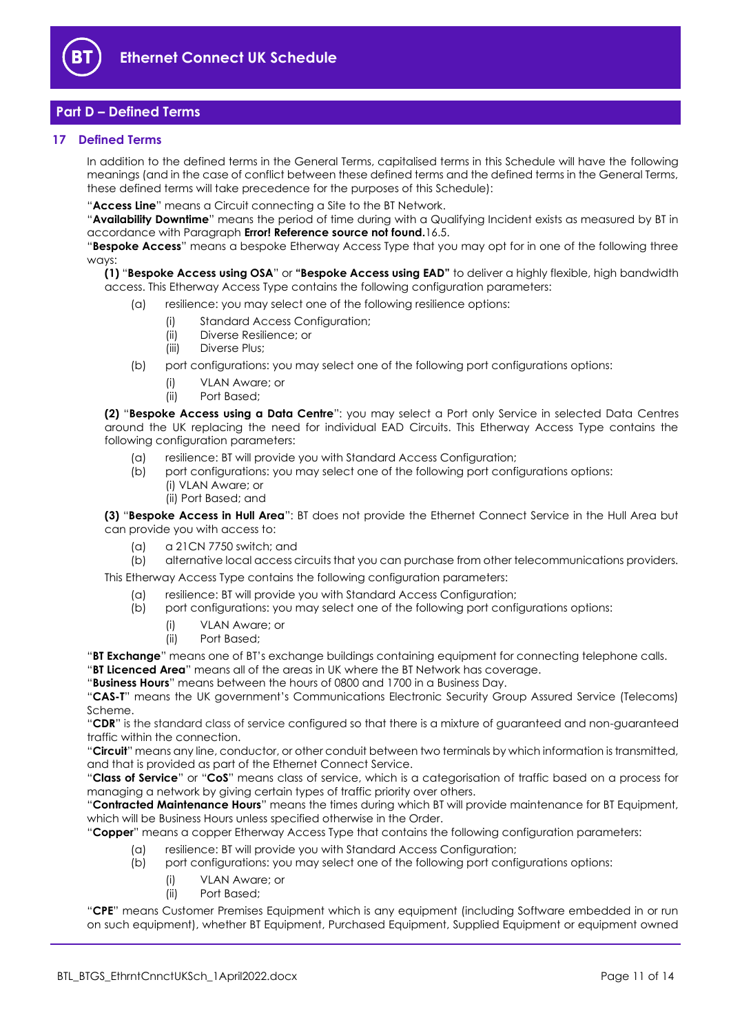

# <span id="page-10-0"></span>**Part D – Defined Terms**

#### <span id="page-10-1"></span>**17 Defined Terms**

In addition to the defined terms in the General Terms, capitalised terms in this Schedule will have the following meanings (and in the case of conflict between these defined terms and the defined terms in the General Terms, these defined terms will take precedence for the purposes of this Schedule):

"**Access Line**" means a Circuit connecting a Site to the BT Network.

"**Availability Downtime**" means the period of time during with a Qualifying Incident exists as measured by BT in accordance with Paragraph **Error! Reference source not found.**[16.5.](#page-9-2)

"**Bespoke Access**" means a bespoke Etherway Access Type that you may opt for in one of the following three ways:

**(1)** "**Bespoke Access using OSA**" or **"Bespoke Access using EAD"** to deliver a highly flexible, high bandwidth access. This Etherway Access Type contains the following configuration parameters:

- (a) resilience: you may select one of the following resilience options:
	- (i) Standard Access Configuration;
	- (ii) Diverse Resilience; or
	- (iii) Diverse Plus:
- (b) port configurations: you may select one of the following port configurations options:
	- (i) VLAN Aware; or
	- (ii) Port Based;

**(2)** "**Bespoke Access using a Data Centre**": you may select a Port only Service in selected Data Centres around the UK replacing the need for individual EAD Circuits. This Etherway Access Type contains the following configuration parameters:

- (a) resilience: BT will provide you with Standard Access Configuration;
- (b) port configurations: you may select one of the following port configurations options: (i) VLAN Aware; or
	- (ii) Port Based; and

**(3)** "**Bespoke Access in Hull Area**": BT does not provide the Ethernet Connect Service in the Hull Area but can provide you with access to:

(a) a 21CN 7750 switch; and

(b) alternative local access circuits that you can purchase from other telecommunications providers.

- This Etherway Access Type contains the following configuration parameters:
	- (a) resilience: BT will provide you with Standard Access Configuration;
		- (b) port configurations: you may select one of the following port configurations options:
			- (i) VLAN Aware; or
			- (ii) Port Based;

"**BT Exchange**" means one of BT's exchange buildings containing equipment for connecting telephone calls.

"**BT Licenced Area**" means all of the areas in UK where the BT Network has coverage.

"**Business Hours**" means between the hours of 0800 and 1700 in a Business Day.

"**CAS-T**" means the UK government's Communications Electronic Security Group Assured Service (Telecoms) Scheme.

"**CDR**" is the standard class of service configured so that there is a mixture of guaranteed and non-guaranteed traffic within the connection.

"**Circuit**" means any line, conductor, or other conduit between two terminals by which information is transmitted, and that is provided as part of the Ethernet Connect Service.

"**Class of Service**" or "**CoS**" means class of service, which is a categorisation of traffic based on a process for managing a network by giving certain types of traffic priority over others.

"**Contracted Maintenance Hours**" means the times during which BT will provide maintenance for BT Equipment, which will be Business Hours unless specified otherwise in the Order.

"**Copper**" means a copper Etherway Access Type that contains the following configuration parameters:

- (a) resilience: BT will provide you with Standard Access Configuration;
- (b) port configurations: you may select one of the following port configurations options:
	- (i) VLAN Aware; or
	- (ii) Port Based;

"**CPE**" means Customer Premises Equipment which is any equipment (including Software embedded in or run on such equipment), whether BT Equipment, Purchased Equipment, Supplied Equipment or equipment owned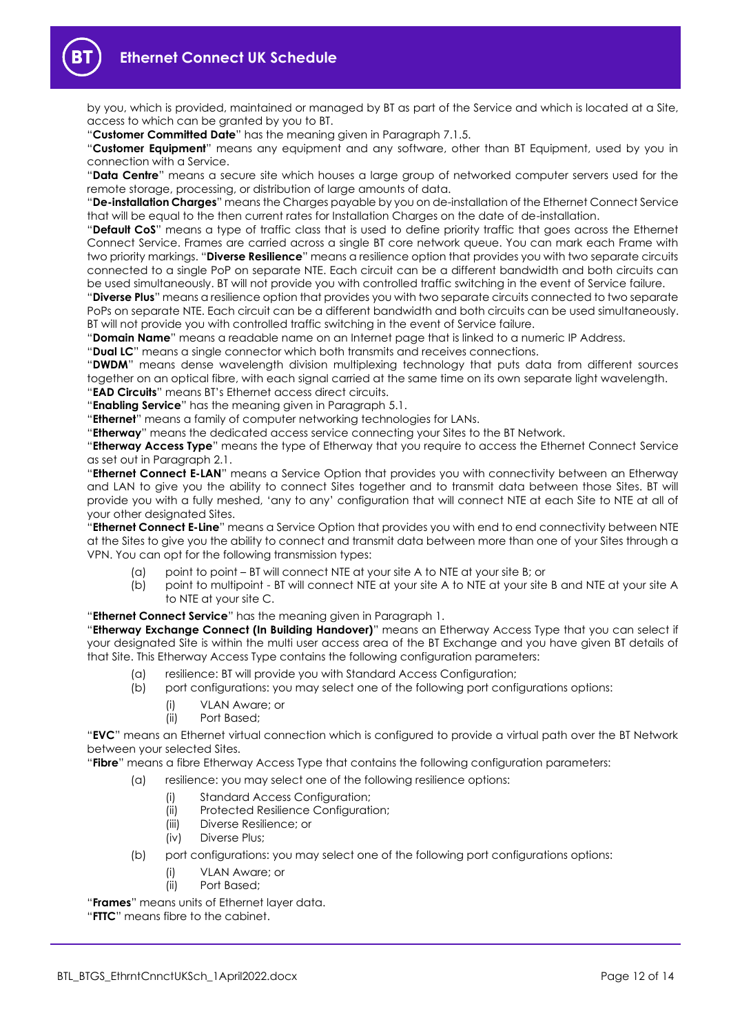

by you, which is provided, maintained or managed by BT as part of the Service and which is located at a Site, access to which can be granted by you to BT.

"**Customer Committed Date**" has the meaning given in Paragraph [7.1.5.](#page-4-5)

"**Customer Equipment**" means any equipment and any software, other than BT Equipment, used by you in connection with a Service.

"**Data Centre**" means a secure site which houses a large group of networked computer servers used for the remote storage, processing, or distribution of large amounts of data.

"**De-installation Charges**" means the Charges payable by you on de-installation of the Ethernet Connect Service that will be equal to the then current rates for Installation Charges on the date of de-installation.

"**Default CoS**" means a type of traffic class that is used to define priority traffic that goes across the Ethernet Connect Service. Frames are carried across a single BT core network queue. You can mark each Frame with two priority markings. "**Diverse Resilience**" means a resilience option that provides you with two separate circuits connected to a single PoP on separate NTE. Each circuit can be a different bandwidth and both circuits can be used simultaneously. BT will not provide you with controlled traffic switching in the event of Service failure.

"**Diverse Plus**" means a resilience option that provides you with two separate circuits connected to two separate PoPs on separate NTE. Each circuit can be a different bandwidth and both circuits can be used simultaneously. BT will not provide you with controlled traffic switching in the event of Service failure.

"**Domain Name**" means a readable name on an Internet page that is linked to a numeric IP Address.

"**Dual LC**" means a single connector which both transmits and receives connections.

"**DWDM**" means dense wavelength division multiplexing technology that puts data from different sources together on an optical fibre, with each signal carried at the same time on its own separate light wavelength.

"**EAD Circuits**" means BT's Ethernet access direct circuits.

"**Enabling Service**" has the meaning given in Paragrap[h 5.1.](#page-2-5)

"**Ethernet**" means a family of computer networking technologies for LANs.

"**Etherway**" means the dedicated access service connecting your Sites to the BT Network.

"**Etherway Access Type**" means the type of Etherway that you require to access the Ethernet Connect Service as set out in Paragraph [2.1.](#page-1-7)

"**Ethernet Connect E-LAN**" means a Service Option that provides you with connectivity between an Etherway and LAN to give you the ability to connect Sites together and to transmit data between those Sites. BT will provide you with a fully meshed, 'any to any' configuration that will connect NTE at each Site to NTE at all of your other designated Sites.

"**Ethernet Connect E-Line**" means a Service Option that provides you with end to end connectivity between NTE at the Sites to give you the ability to connect and transmit data between more than one of your Sites through a VPN. You can opt for the following transmission types:

- (a) point to point BT will connect NTE at your site A to NTE at your site B; or
- (b) point to multipoint BT will connect NTE at your site A to NTE at your site B and NTE at your site A to NTE at your site C.

"**Ethernet Connect Service**" has the meaning given in Paragrap[h 1.](#page-1-3)

"**Etherway Exchange Connect (In Building Handover)**" means an Etherway Access Type that you can select if your designated Site is within the multi user access area of the BT Exchange and you have given BT details of that Site. This Etherway Access Type contains the following configuration parameters:

- (a) resilience: BT will provide you with Standard Access Configuration;
- (b) port configurations: you may select one of the following port configurations options:
	- (i) VLAN Aware; or
	- (ii) Port Based;

"**EVC**" means an Ethernet virtual connection which is configured to provide a virtual path over the BT Network between your selected Sites.

"**Fibre**" means a fibre Etherway Access Type that contains the following configuration parameters:

- (a) resilience: you may select one of the following resilience options:
	- (i) Standard Access Configuration;
	- (ii) Protected Resilience Configuration;
	- (iii) Diverse Resilience; or
	- (iv) Diverse Plus;
- (b) port configurations: you may select one of the following port configurations options:
	- (i) VLAN Aware; or
	- (ii) Port Based;

"**Frames**" means units of Ethernet layer data.

"**FTTC**" means fibre to the cabinet.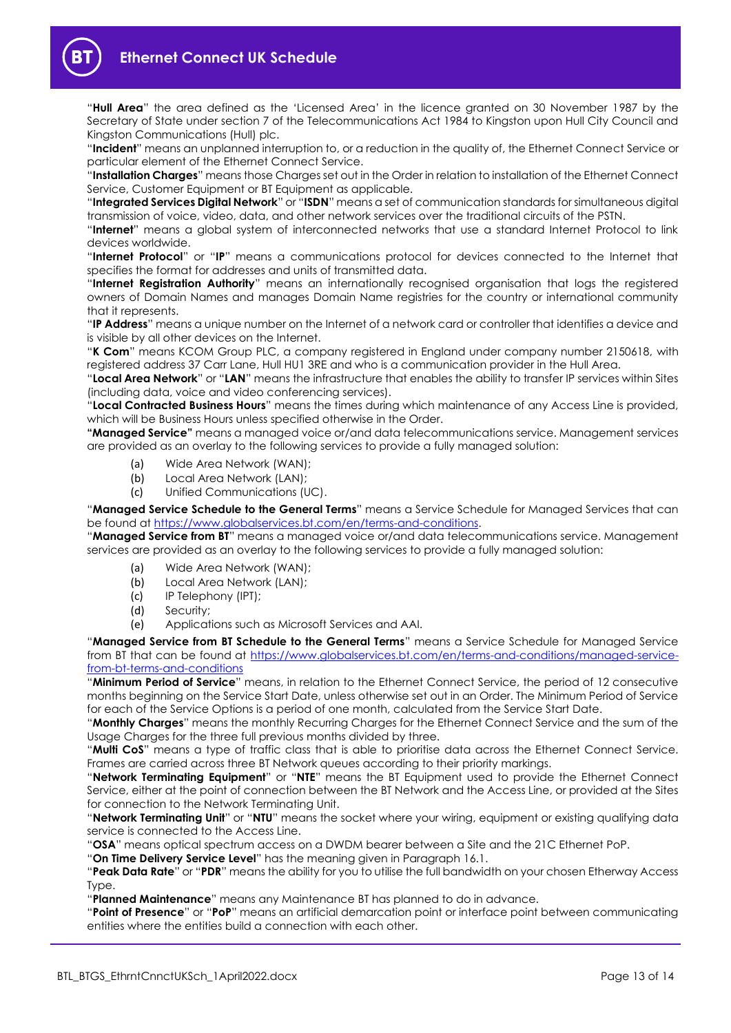

"**Hull Area**" the area defined as the 'Licensed Area' in the licence granted on 30 November 1987 by the Secretary of State under section 7 of the Telecommunications Act 1984 to Kingston upon Hull City Council and Kingston Communications (Hull) plc.

"**Incident**" means an unplanned interruption to, or a reduction in the quality of, the Ethernet Connect Service or particular element of the Ethernet Connect Service.

"**Installation Charges**" means those Charges set out in the Order in relation to installation of the Ethernet Connect Service, Customer Equipment or BT Equipment as applicable.

"**Integrated Services Digital Network**" or "**ISDN**" means a set of communication standards for simultaneous digital transmission of voice, video, data, and other network services over the traditional circuits of the PSTN.

"**Internet**" means a global system of interconnected networks that use a standard Internet Protocol to link devices worldwide.

"**Internet Protocol**" or "**IP**" means a communications protocol for devices connected to the Internet that specifies the format for addresses and units of transmitted data.

"**Internet Registration Authority**" means an internationally recognised organisation that logs the registered owners of Domain Names and manages Domain Name registries for the country or international community that it represents.

"**IP Address**" means a unique number on the Internet of a network card or controller that identifies a device and is visible by all other devices on the Internet.

"**K Com**" means KCOM Group PLC, a company registered in England under company number 2150618, with registered address 37 Carr Lane, Hull HU1 3RE and who is a communication provider in the Hull Area.

"**Local Area Network**" or "**LAN**" means the infrastructure that enables the ability to transfer IP services within Sites (including data, voice and video conferencing services).

"**Local Contracted Business Hours**" means the times during which maintenance of any Access Line is provided, which will be Business Hours unless specified otherwise in the Order.

**"Managed Service"** means a managed voice or/and data telecommunications service. Management services are provided as an overlay to the following services to provide a fully managed solution:

- (a) Wide Area Network (WAN);
- (b) Local Area Network (LAN);
- (c) Unified Communications (UC).

"**Managed Service Schedule to the General Terms**" means a Service Schedule for Managed Services that can be found at [https://www.globalservices.bt.com/en/terms-and-conditions.](https://www.globalservices.bt.com/en/terms-and-conditions)

"**Managed Service from BT**" means a managed voice or/and data telecommunications service. Management services are provided as an overlay to the following services to provide a fully managed solution:

- (a) Wide Area Network (WAN);
- (b) Local Area Network (LAN);
- (c) IP Telephony (IPT);
- Security;
- (e) Applications such as Microsoft Services and AAI.

"**Managed Service from BT Schedule to the General Terms**" means a Service Schedule for Managed Service from BT that can be found at [https://www.globalservices.bt.com/en/terms-and-conditions/managed-service](https://www.globalservices.bt.com/en/terms-and-conditions/managed-service-from-bt-terms-and-conditions)[from-bt-terms-and-conditions](https://www.globalservices.bt.com/en/terms-and-conditions/managed-service-from-bt-terms-and-conditions)

"**Minimum Period of Service**" means, in relation to the Ethernet Connect Service, the period of 12 consecutive months beginning on the Service Start Date, unless otherwise set out in an Order. The Minimum Period of Service for each of the Service Options is a period of one month, calculated from the Service Start Date.

"**Monthly Charges**" means the monthly Recurring Charges for the Ethernet Connect Service and the sum of the Usage Charges for the three full previous months divided by three.

"**Multi CoS**" means a type of traffic class that is able to prioritise data across the Ethernet Connect Service. Frames are carried across three BT Network queues according to their priority markings.

"**Network Terminating Equipment**" or "**NTE**" means the BT Equipment used to provide the Ethernet Connect Service, either at the point of connection between the BT Network and the Access Line, or provided at the Sites for connection to the Network Terminating Unit.

"**Network Terminating Unit**" or "**NTU**" means the socket where your wiring, equipment or existing qualifying data service is connected to the Access Line.

"**OSA**" means optical spectrum access on a DWDM bearer between a Site and the 21C Ethernet PoP.

"**On Time Delivery Service Level**" has the meaning given in Paragrap[h 16.1.](#page-9-3)

"**Peak Data Rate**" or "**PDR**" means the ability for you to utilise the full bandwidth on your chosen Etherway Access Type.

"**Planned Maintenance**" means any Maintenance BT has planned to do in advance.

"**Point of Presence**" or "**PoP**" means an artificial demarcation point or interface point between communicating entities where the entities build a connection with each other.